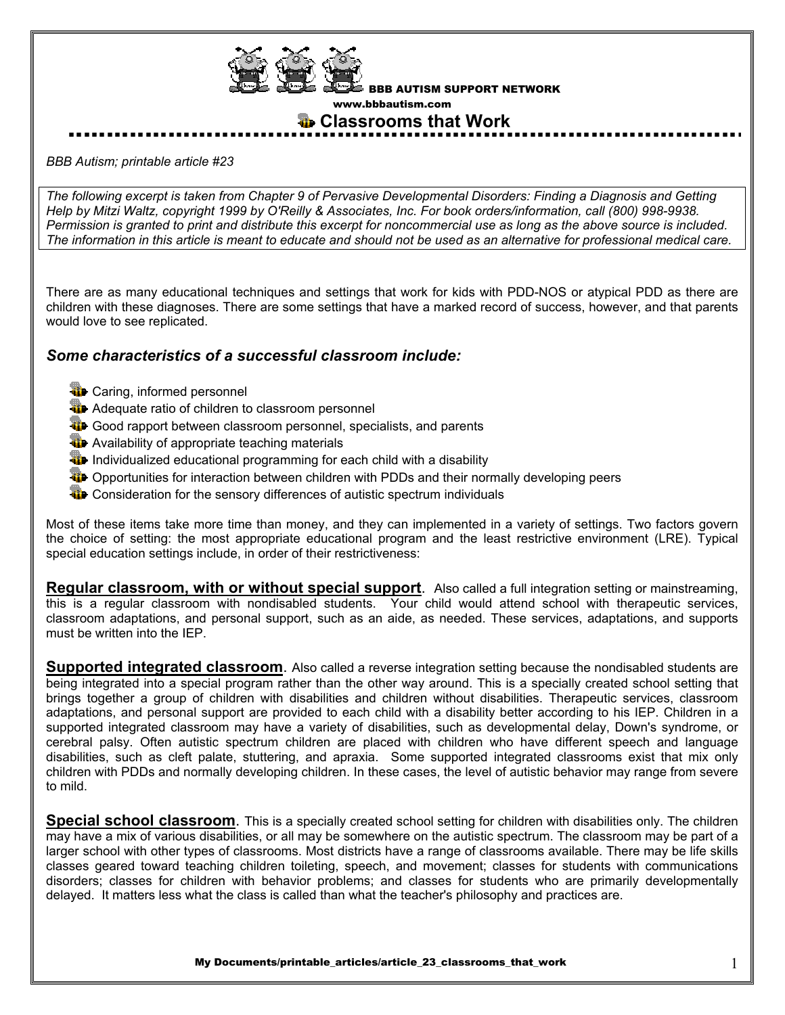

BBB AUTISM SUPPORT NETWORK www.bbbautism.com

# **Classrooms that Work**

*BBB Autism; printable article #23* 

*The following excerpt is taken from Chapter 9 of Pervasive Developmental Disorders: Finding a Diagnosis and Getting Help by Mitzi Waltz, copyright 1999 by O'Reilly & Associates, Inc. For book orders/information, call (800) 998-9938. Permission is granted to print and distribute this excerpt for noncommercial use as long as the above source is included. The information in this article is meant to educate and should not be used as an alternative for professional medical care.* 

There are as many educational techniques and settings that work for kids with PDD-NOS or atypical PDD as there are children with these diagnoses. There are some settings that have a marked record of success, however, and that parents would love to see replicated.

### *Some characteristics of a successful classroom include:*

- **T** Caring, informed personnel
- **AD** Adequate ratio of children to classroom personnel
- **Good rapport between classroom personnel, specialists, and parents**
- **W** Availability of appropriate teaching materials
- **Individualized educational programming for each child with a disability**
- **Opportunities for interaction between children with PDDs and their normally developing peers**
- **T** Consideration for the sensory differences of autistic spectrum individuals

Most of these items take more time than money, and they can implemented in a variety of settings. Two factors govern the choice of setting: the most appropriate educational program and the least restrictive environment (LRE). Typical special education settings include, in order of their restrictiveness:

**Regular classroom, with or without special support**. Also called a full integration setting or mainstreaming, this is a regular classroom with nondisabled students. Your child would attend school with therapeutic services, classroom adaptations, and personal support, such as an aide, as needed. These services, adaptations, and supports must be written into the IEP.

**Supported integrated classroom**. Also called a reverse integration setting because the nondisabled students are being integrated into a special program rather than the other way around. This is a specially created school setting that brings together a group of children with disabilities and children without disabilities. Therapeutic services, classroom adaptations, and personal support are provided to each child with a disability better according to his IEP. Children in a supported integrated classroom may have a variety of disabilities, such as developmental delay, Down's syndrome, or cerebral palsy. Often autistic spectrum children are placed with children who have different speech and language disabilities, such as cleft palate, stuttering, and apraxia. Some supported integrated classrooms exist that mix only children with PDDs and normally developing children. In these cases, the level of autistic behavior may range from severe to mild.

**Special school classroom**. This is a specially created school setting for children with disabilities only. The children may have a mix of various disabilities, or all may be somewhere on the autistic spectrum. The classroom may be part of a larger school with other types of classrooms. Most districts have a range of classrooms available. There may be life skills classes geared toward teaching children toileting, speech, and movement; classes for students with communications disorders; classes for children with behavior problems; and classes for students who are primarily developmentally delayed. It matters less what the class is called than what the teacher's philosophy and practices are.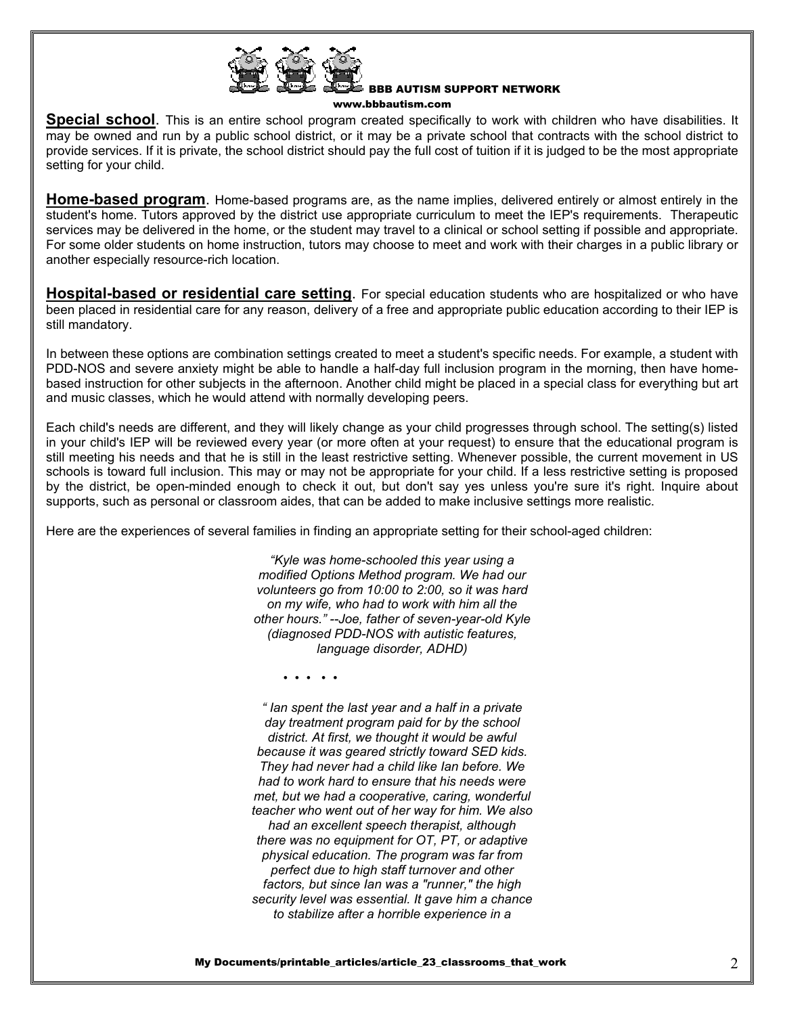

#### BBB AUTISM SUPPORT NETWORK

### www.bbbautism.com

**Special school**. This is an entire school program created specifically to work with children who have disabilities. It may be owned and run by a public school district, or it may be a private school that contracts with the school district to provide services. If it is private, the school district should pay the full cost of tuition if it is judged to be the most appropriate setting for your child.

**Home-based program**. Home-based programs are, as the name implies, delivered entirely or almost entirely in the student's home. Tutors approved by the district use appropriate curriculum to meet the IEP's requirements. Therapeutic services may be delivered in the home, or the student may travel to a clinical or school setting if possible and appropriate. For some older students on home instruction, tutors may choose to meet and work with their charges in a public library or another especially resource-rich location.

**Hospital-based or residential care setting**. For special education students who are hospitalized or who have been placed in residential care for any reason, delivery of a free and appropriate public education according to their IEP is still mandatory.

In between these options are combination settings created to meet a student's specific needs. For example, a student with PDD-NOS and severe anxiety might be able to handle a half-day full inclusion program in the morning, then have homebased instruction for other subjects in the afternoon. Another child might be placed in a special class for everything but art and music classes, which he would attend with normally developing peers.

Each child's needs are different, and they will likely change as your child progresses through school. The setting(s) listed in your child's IEP will be reviewed every year (or more often at your request) to ensure that the educational program is still meeting his needs and that he is still in the least restrictive setting. Whenever possible, the current movement in US schools is toward full inclusion. This may or may not be appropriate for your child. If a less restrictive setting is proposed by the district, be open-minded enough to check it out, but don't say yes unless you're sure it's right. Inquire about supports, such as personal or classroom aides, that can be added to make inclusive settings more realistic.

Here are the experiences of several families in finding an appropriate setting for their school-aged children:

*"Kyle was home-schooled this year using a modified Options Method program. We had our volunteers go from 10:00 to 2:00, so it was hard on my wife, who had to work with him all the other hours." --Joe, father of seven-year-old Kyle (diagnosed PDD-NOS with autistic features, language disorder, ADHD)* 

• • • • •

*" Ian spent the last year and a half in a private day treatment program paid for by the school district. At first, we thought it would be awful because it was geared strictly toward SED kids. They had never had a child like Ian before. We had to work hard to ensure that his needs were met, but we had a cooperative, caring, wonderful teacher who went out of her way for him. We also had an excellent speech therapist, although there was no equipment for OT, PT, or adaptive physical education. The program was far from perfect due to high staff turnover and other factors, but since Ian was a "runner," the high security level was essential. It gave him a chance to stabilize after a horrible experience in a*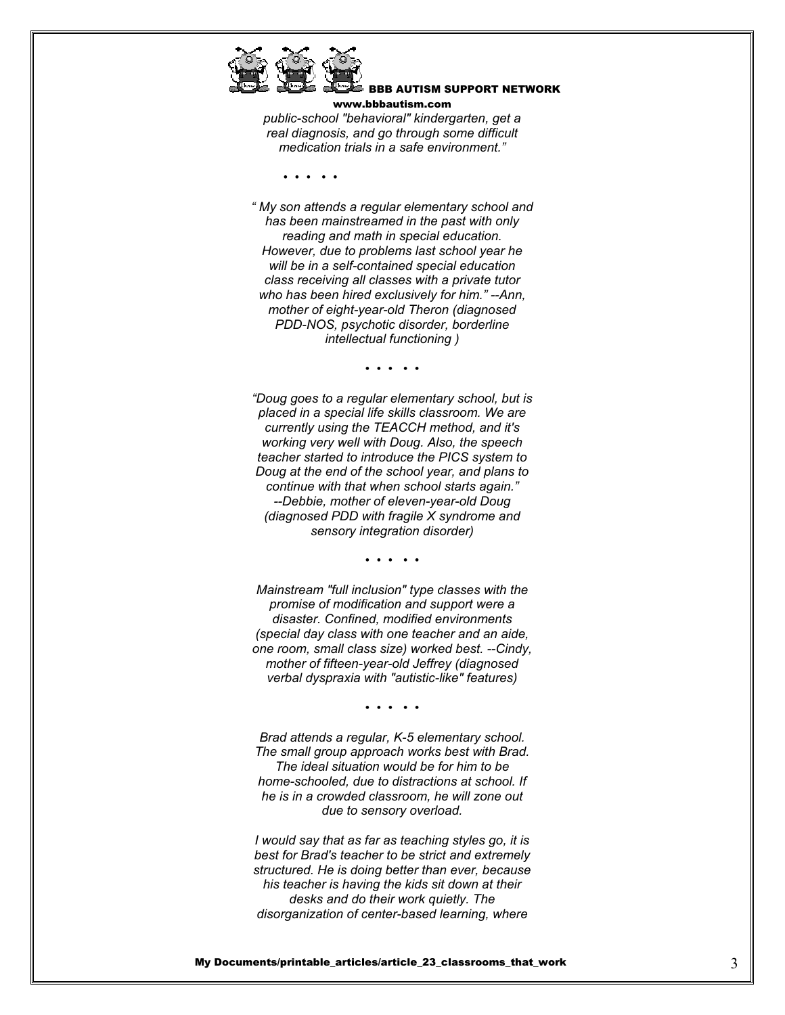

BBB AUTISM SUPPORT NETWORK www.bbbautism.com

*public-school "behavioral" kindergarten, get a real diagnosis, and go through some difficult medication trials in a safe environment."* 

• • • • •

*" My son attends a regular elementary school and has been mainstreamed in the past with only reading and math in special education. However, due to problems last school year he will be in a self-contained special education class receiving all classes with a private tutor who has been hired exclusively for him." --Ann, mother of eight-year-old Theron (diagnosed PDD-NOS, psychotic disorder, borderline intellectual functioning )* 

*• • • • •* 

*"Doug goes to a regular elementary school, but is placed in a special life skills classroom. We are currently using the TEACCH method, and it's working very well with Doug. Also, the speech teacher started to introduce the PICS system to Doug at the end of the school year, and plans to continue with that when school starts again." --Debbie, mother of eleven-year-old Doug (diagnosed PDD with fragile X syndrome and sensory integration disorder)* 

*• • • • •* 

*Mainstream "full inclusion" type classes with the promise of modification and support were a disaster. Confined, modified environments (special day class with one teacher and an aide, one room, small class size) worked best. --Cindy, mother of fifteen-year-old Jeffrey (diagnosed verbal dyspraxia with "autistic-like" features)* 

• • • • •

*Brad attends a regular, K-5 elementary school. The small group approach works best with Brad. The ideal situation would be for him to be home-schooled, due to distractions at school. If he is in a crowded classroom, he will zone out due to sensory overload.* 

*I would say that as far as teaching styles go, it is best for Brad's teacher to be strict and extremely structured. He is doing better than ever, because his teacher is having the kids sit down at their desks and do their work quietly. The disorganization of center-based learning, where*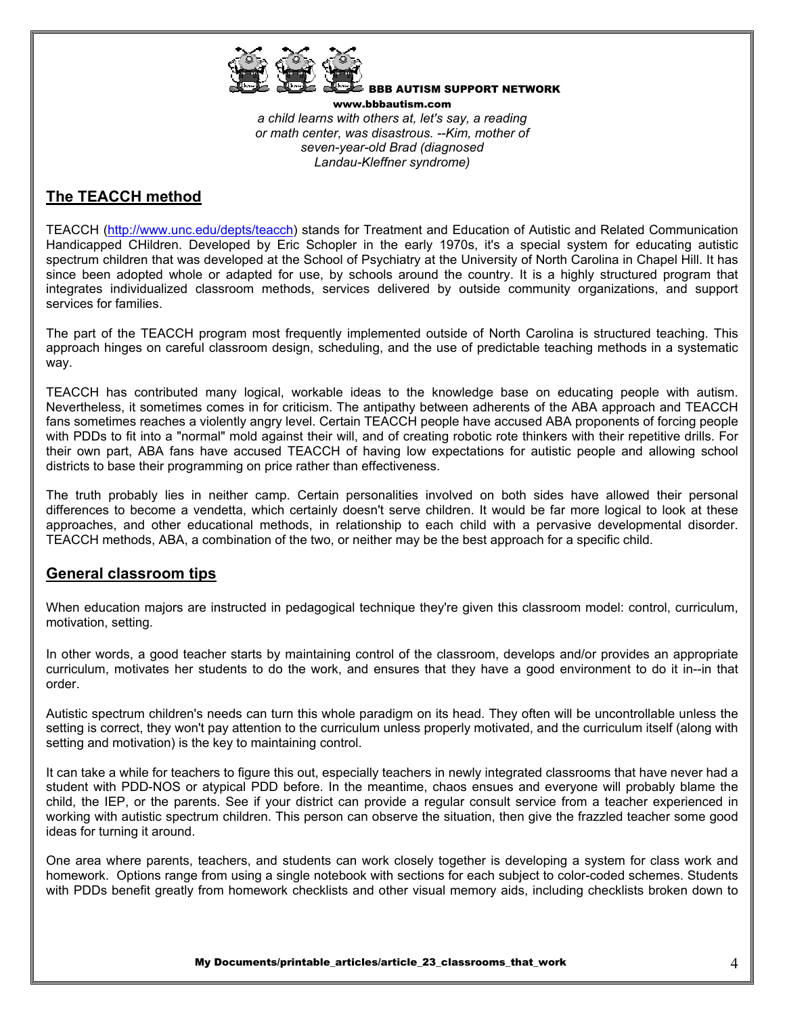

BBB AUTISM SUPPORT NETWORK www.bbbautism.com *a child learns with others at, let's say, a reading* 

*or math center, was disastrous. --Kim, mother of seven-year-old Brad (diagnosed Landau-Kleffner syndrome)*

## **The TEACCH method**

TEACCH (http://www.unc.edu/depts/teacch) stands for Treatment and Education of Autistic and Related Communication Handicapped CHildren. Developed by Eric Schopler in the early 1970s, it's a special system for educating autistic spectrum children that was developed at the School of Psychiatry at the University of North Carolina in Chapel Hill. It has since been adopted whole or adapted for use, by schools around the country. It is a highly structured program that integrates individualized classroom methods, services delivered by outside community organizations, and support services for families.

The part of the TEACCH program most frequently implemented outside of North Carolina is structured teaching. This approach hinges on careful classroom design, scheduling, and the use of predictable teaching methods in a systematic way.

TEACCH has contributed many logical, workable ideas to the knowledge base on educating people with autism. Nevertheless, it sometimes comes in for criticism. The antipathy between adherents of the ABA approach and TEACCH fans sometimes reaches a violently angry level. Certain TEACCH people have accused ABA proponents of forcing people with PDDs to fit into a "normal" mold against their will, and of creating robotic rote thinkers with their repetitive drills. For their own part, ABA fans have accused TEACCH of having low expectations for autistic people and allowing school districts to base their programming on price rather than effectiveness.

The truth probably lies in neither camp. Certain personalities involved on both sides have allowed their personal differences to become a vendetta, which certainly doesn't serve children. It would be far more logical to look at these approaches, and other educational methods, in relationship to each child with a pervasive developmental disorder. TEACCH methods, ABA, a combination of the two, or neither may be the best approach for a specific child.

### **General classroom tips**

When education majors are instructed in pedagogical technique they're given this classroom model: control, curriculum, motivation, setting.

In other words, a good teacher starts by maintaining control of the classroom, develops and/or provides an appropriate curriculum, motivates her students to do the work, and ensures that they have a good environment to do it in--in that order.

Autistic spectrum children's needs can turn this whole paradigm on its head. They often will be uncontrollable unless the setting is correct, they won't pay attention to the curriculum unless properly motivated, and the curriculum itself (along with setting and motivation) is the key to maintaining control.

It can take a while for teachers to figure this out, especially teachers in newly integrated classrooms that have never had a student with PDD-NOS or atypical PDD before. In the meantime, chaos ensues and everyone will probably blame the child, the IEP, or the parents. See if your district can provide a regular consult service from a teacher experienced in working with autistic spectrum children. This person can observe the situation, then give the frazzled teacher some good ideas for turning it around.

One area where parents, teachers, and students can work closely together is developing a system for class work and homework. Options range from using a single notebook with sections for each subject to color-coded schemes. Students with PDDs benefit greatly from homework checklists and other visual memory aids, including checklists broken down to